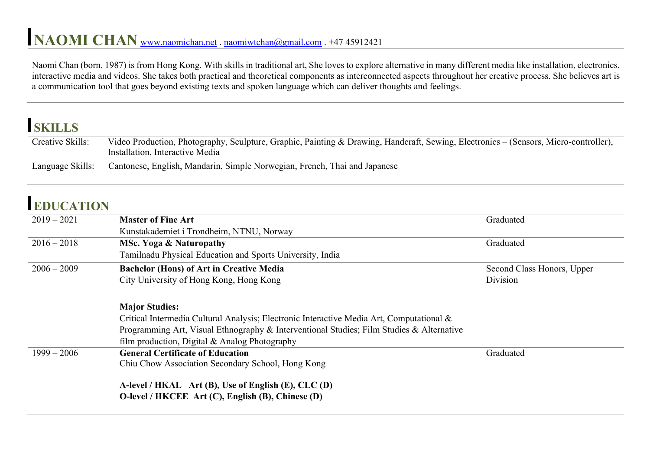## **NAOMI CHAN** www.naomichan.net . naomiwtchan@gmail.com . +47 45912421

Naomi Chan (born. 1987) is from Hong Kong. With skills in traditional art, She loves to explore alternative in many different media like installation, electronics, interactive media and videos. She takes both practical and theoretical components as interconnected aspects throughout her creative process. She believes art is a communication tool that goes beyond existing texts and spoken language which can deliver thoughts and feelings.

## **SKILLS**

| Creative Skills: | Video Production, Photography, Sculpture, Graphic, Painting & Drawing, Handcraft, Sewing, Electronics – (Sensors, Micro-controller),<br>Installation, Interactive Media |
|------------------|-------------------------------------------------------------------------------------------------------------------------------------------------------------------------|
|                  | Language Skills: Cantonese, English, Mandarin, Simple Norwegian, French, Thai and Japanese                                                                              |

## **EDUCATION**

| $2019 - 2021$ | <b>Master of Fine Art</b>                                                                | Graduated                  |
|---------------|------------------------------------------------------------------------------------------|----------------------------|
|               | Kunstakademiet i Trondheim, NTNU, Norway                                                 |                            |
| $2016 - 2018$ | <b>MSc. Yoga &amp; Naturopathy</b>                                                       | Graduated                  |
|               | Tamilnadu Physical Education and Sports University, India                                |                            |
| $2006 - 2009$ | <b>Bachelor (Hons) of Art in Creative Media</b>                                          | Second Class Honors, Upper |
|               | City University of Hong Kong, Hong Kong                                                  | Division                   |
|               | <b>Major Studies:</b>                                                                    |                            |
|               | Critical Intermedia Cultural Analysis; Electronic Interactive Media Art, Computational & |                            |
|               | Programming Art, Visual Ethnography & Interventional Studies; Film Studies & Alternative |                            |
|               | film production, Digital & Analog Photography                                            |                            |
| $1999 - 2006$ | <b>General Certificate of Education</b>                                                  | Graduated                  |
|               | Chiu Chow Association Secondary School, Hong Kong                                        |                            |
|               |                                                                                          |                            |
|               | A-level / HKAL Art (B), Use of English (E), CLC (D)                                      |                            |
|               | O-level / HKCEE Art (C), English (B), Chinese (D)                                        |                            |